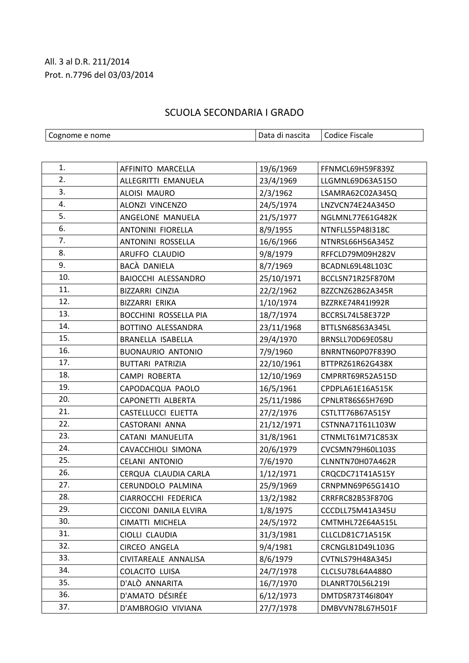## All. 3 al D.R. 211/2014 Prot. n.7796 del 03/03/2014

## SCUOLA SECONDARIA I GRADO

| Cognome e nome |                          | Data di nascita | <b>Codice Fiscale</b> |
|----------------|--------------------------|-----------------|-----------------------|
|                |                          |                 |                       |
|                |                          |                 |                       |
| 1.             | AFFINITO MARCELLA        | 19/6/1969       | FFNMCL69H59F839Z      |
| 2.             | ALLEGRITTI EMANUELA      | 23/4/1969       | LLGMNL69D63A515O      |
| 3.             | ALOISI MAURO             | 2/3/1962        | LSAMRA62C02A345Q      |
| 4.             | ALONZI VINCENZO          | 24/5/1974       | LNZVCN74E24A345O      |
| 5.             | ANGELONE MANUELA         | 21/5/1977       | NGLMNL77E61G482K      |
| 6.             | ANTONINI FIORELLA        | 8/9/1955        | NTNFLL55P48I318C      |
| 7.             | ANTONINI ROSSELLA        | 16/6/1966       | NTNRSL66H56A345Z      |
| 8.             | ARUFFO CLAUDIO           | 9/8/1979        | RFFCLD79M09H282V      |
| 9.             | BACÀ DANIELA             | 8/7/1969        | BCADNL69L48L103C      |
| 10.            | BAIOCCHI ALESSANDRO      | 25/10/1971      | BCCLSN71R25F870M      |
| 11.            | BIZZARRI CINZIA          | 22/2/1962       | BZZCNZ62B62A345R      |
| 12.            | BIZZARRI ERIKA           | 1/10/1974       | BZZRKE74R41I992R      |
| 13.            | BOCCHINI ROSSELLA PIA    | 18/7/1974       | BCCRSL74L58E372P      |
| 14.            | BOTTINO ALESSANDRA       | 23/11/1968      | BTTLSN68S63A345L      |
| 15.            | BRANELLA ISABELLA        | 29/4/1970       | BRNSLL70D69E058U      |
| 16.            | <b>BUONAURIO ANTONIO</b> | 7/9/1960        | BNRNTN60P07F839O      |
| 17.            | <b>BUTTARI PATRIZIA</b>  | 22/10/1961      | BTTPRZ61R62G438X      |
| 18.            | CAMPI ROBERTA            | 12/10/1969      | CMPRRT69R52A515D      |
| 19.            | CAPODACQUA PAOLO         | 16/5/1961       | CPDPLA61E16A515K      |
| 20.            | CAPONETTI ALBERTA        | 25/11/1986      | CPNLRT86S65H769D      |
| 21.            | CASTELLUCCI ELIETTA      | 27/2/1976       | CSTLTT76B67A515Y      |
| 22.            | CASTORANI ANNA           | 21/12/1971      | CSTNNA71T61L103W      |
| 23.            | CATANI MANUELITA         | 31/8/1961       | CTNMLT61M71C853X      |
| 24.            | CAVACCHIOLI SIMONA       | 20/6/1979       | CVCSMN79H60L103S      |
| 25.            | <b>CELANI ANTONIO</b>    | 7/6/1970        | CLNNTN70H07A462R      |
| 26.            | CERQUA CLAUDIA CARLA     | 1/12/1971       | CRQCDC71T41A515Y      |
| 27.            | CERUNDOLO PALMINA        | 25/9/1969       | CRNPMN69P65G141O      |
| 28.            | CIARROCCHI FEDERICA      | 13/2/1982       | CRRFRC82B53F870G      |
| 29.            | CICCONI DANILA ELVIRA    | 1/8/1975        | CCCDLL75M41A345U      |
| 30.            | CIMATTI MICHELA          | 24/5/1972       | CMTMHL72E64A515L      |
| 31.            | CIOLLI CLAUDIA           | 31/3/1981       | CLLCLD81C71A515K      |
| 32.            | CIRCEO ANGELA            | 9/4/1981        | CRCNGL81D49L103G      |
| 33.            | CIVITAREALE ANNALISA     | 8/6/1979        | CVTNLS79H48A345J      |
| 34.            | <b>COLACITO LUISA</b>    | 24/7/1978       | CLCLSU78L64A488O      |
| 35.            | D'ALÒ ANNARITA           | 16/7/1970       | DLANRT70L56L219I      |
| 36.            | D'AMATO DÉSIRÉE          | 6/12/1973       | DMTDSR73T46I804Y      |
| 37.            | D'AMBROGIO VIVIANA       | 27/7/1978       | DMBVVN78L67H501F      |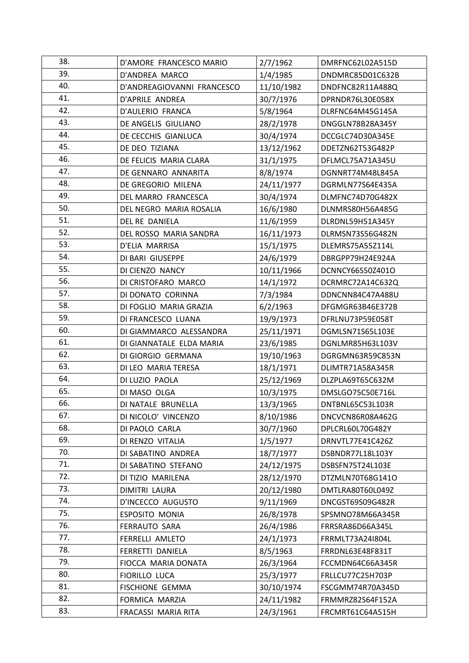| 38. | D'AMORE FRANCESCO MARIO    | 2/7/1962   | DMRFNC62L02A515D |
|-----|----------------------------|------------|------------------|
| 39. | D'ANDREA MARCO             | 1/4/1985   | DNDMRC85D01C632B |
| 40. | D'ANDREAGIOVANNI FRANCESCO | 11/10/1982 | DNDFNC82R11A488Q |
| 41. | D'APRILE ANDREA            | 30/7/1976  | DPRNDR76L30E058X |
| 42. | D'AULERIO FRANCA           | 5/8/1964   | DLRFNC64M45G145A |
| 43. | DE ANGELIS GIULIANO        | 28/2/1978  | DNGGLN78B28A345Y |
| 44. | DE CECCHIS GIANLUCA        | 30/4/1974  | DCCGLC74D30A345E |
| 45. | DE DEO TIZIANA             | 13/12/1962 | DDETZN62T53G482P |
| 46. | DE FELICIS MARIA CLARA     | 31/1/1975  | DFLMCL75A71A345U |
| 47. | DE GENNARO ANNARITA        | 8/8/1974   | DGNNRT74M48L845A |
| 48. | DE GREGORIO MILENA         | 24/11/1977 | DGRMLN77S64E435A |
| 49. | DEL MARRO FRANCESCA        | 30/4/1974  | DLMFNC74D70G482X |
| 50. | DEL NEGRO MARIA ROSALIA    | 16/6/1980  | DLNMRS80H56A485G |
| 51. | DEL RE DANIELA             | 11/6/1959  | DLRDNL59H51A345Y |
| 52. | DEL ROSSO MARIA SANDRA     | 16/11/1973 | DLRMSN73S56G482N |
| 53. | D'ELIA MARRISA             | 15/1/1975  | DLEMRS75A55Z114L |
| 54. | DI BARI GIUSEPPE           | 24/6/1979  | DBRGPP79H24E924A |
| 55. | DI CIENZO NANCY            | 10/11/1966 | DCNNCY66S50Z401O |
| 56. | DI CRISTOFARO MARCO        | 14/1/1972  | DCRMRC72A14C632Q |
| 57. | DI DONATO CORINNA          | 7/3/1984   | DDNCNN84C47A488U |
| 58. | DI FOGLIO MARIA GRAZIA     | 6/2/1963   | DFGMGR63B46E372B |
| 59. | DI FRANCESCO LUANA         | 19/9/1973  | DFRLNU73P59E058T |
| 60. | DI GIAMMARCO ALESSANDRA    | 25/11/1971 | DGMLSN71S65L103E |
| 61. | DI GIANNATALE ELDA MARIA   | 23/6/1985  | DGNLMR85H63L103V |
| 62. | DI GIORGIO GERMANA         | 19/10/1963 | DGRGMN63R59C853N |
| 63. | DI LEO MARIA TERESA        | 18/1/1971  | DLIMTR71A58A345R |
| 64. | DI LUZIO PAOLA             | 25/12/1969 | DLZPLA69T65C632M |
| 65. | DI MASO OLGA               | 10/3/1975  | DMSLGO75C50E716L |
| 66. | DI NATALE BRUNELLA         | 13/3/1965  | DNTBNL65C53L103R |
| 67. | DI NICOLO' VINCENZO        | 8/10/1986  | DNCVCN86R08A462G |
| 68. | DI PAOLO CARLA             | 30/7/1960  | DPLCRL60L70G482Y |
| 69. | DI RENZO VITALIA           | 1/5/1977   | DRNVTL77E41C426Z |
| 70. | DI SABATINO ANDREA         | 18/7/1977  | DSBNDR77L18L103Y |
| 71. | DI SABATINO STEFANO        | 24/12/1975 | DSBSFN75T24L103E |
| 72. | DI TIZIO MARILENA          | 28/12/1970 | DTZMLN70T68G141O |
| 73. | DIMITRI LAURA              | 20/12/1980 | DMTLRA80T60L049Z |
| 74. | D'INCECCO AUGUSTO          | 9/11/1969  | DNCGST69S09G482R |
| 75. | ESPOSITO MONIA             | 26/8/1978  | SPSMNO78M66A345R |
| 76. | <b>FERRAUTO SARA</b>       | 26/4/1986  | FRRSRA86D66A345L |
| 77. | FERRELLI AMLETO            | 24/1/1973  | FRRMLT73A24I804L |
| 78. | FERRETTI DANIELA           | 8/5/1963   | FRRDNL63E48F831T |
| 79. | FIOCCA MARIA DONATA        | 26/3/1964  | FCCMDN64C66A345R |
| 80. | <b>FIORILLO LUCA</b>       | 25/3/1977  | FRLLCU77C25H703P |
| 81. | <b>FISCHIONE GEMMA</b>     | 30/10/1974 | FSCGMM74R70A345D |
| 82. | FORMICA MARZIA             | 24/11/1982 | FRMMRZ82S64F152A |
| 83. | FRACASSI MARIA RITA        | 24/3/1961  | FRCMRT61C64A515H |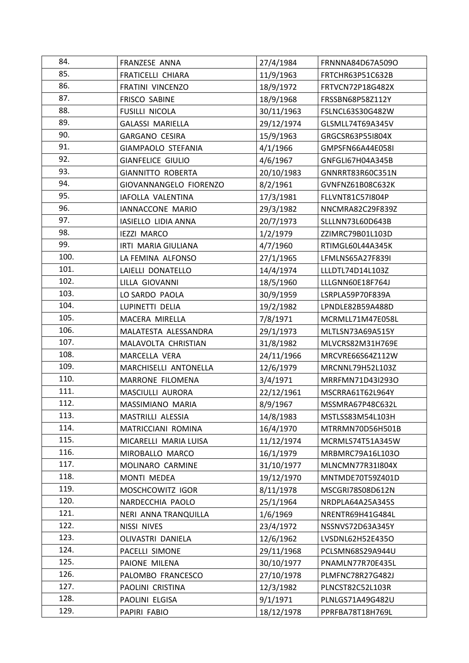| 84.  | FRANZESE ANNA            | 27/4/1984  | FRNNNA84D67A509O |
|------|--------------------------|------------|------------------|
| 85.  | <b>FRATICELLI CHIARA</b> | 11/9/1963  | FRTCHR63P51C632B |
| 86.  | FRATINI VINCENZO         | 18/9/1972  | FRTVCN72P18G482X |
| 87.  | <b>FRISCO SABINE</b>     | 18/9/1968  | FRSSBN68P58Z112Y |
| 88.  | FUSILLI NICOLA           | 30/11/1963 | FSLNCL63S30G482W |
| 89.  | <b>GALASSI MARIELLA</b>  | 29/12/1974 | GLSMLL74T69A345V |
| 90.  | <b>GARGANO CESIRA</b>    | 15/9/1963  | GRGCSR63P55I804X |
| 91.  | GIAMPAOLO STEFANIA       | 4/1/1966   | GMPSFN66A44E058I |
| 92.  | <b>GIANFELICE GIULIO</b> | 4/6/1967   | GNFGLI67H04A345B |
| 93.  | <b>GIANNITTO ROBERTA</b> | 20/10/1983 | GNNRRT83R60C351N |
| 94.  | GIOVANNANGELO FIORENZO   | 8/2/1961   | GVNFNZ61B08C632K |
| 95.  | IAFOLLA VALENTINA        | 17/3/1981  | FLLVNT81C57I804P |
| 96.  | IANNACCONE MARIO         | 29/3/1982  | NNCMRA82C29F839Z |
| 97.  | IASIELLO LIDIA ANNA      | 20/7/1973  | SLLLNN73L60D643B |
| 98.  | <b>IEZZI MARCO</b>       | 1/2/1979   | ZZIMRC79B01L103D |
| 99.  | IRTI MARIA GIULIANA      | 4/7/1960   | RTIMGL60L44A345K |
| 100. | LA FEMINA ALFONSO        | 27/1/1965  | LFMLNS65A27F839I |
| 101. | LAIELLI DONATELLO        | 14/4/1974  | LLLDTL74D14L103Z |
| 102. | LILLA GIOVANNI           | 18/5/1960  | LLLGNN60E18F764J |
| 103. | LO SARDO PAOLA           | 30/9/1959  | LSRPLA59P70F839A |
| 104. | LUPINETTI DELIA          | 19/2/1982  | LPNDLE82B59A488D |
| 105. | MACERA MIRELLA           | 7/8/1971   | MCRMLL71M47E058L |
| 106. | MALATESTA ALESSANDRA     | 29/1/1973  | MLTLSN73A69A515Y |
| 107. | MALAVOLTA CHRISTIAN      | 31/8/1982  | MLVCRS82M31H769E |
| 108. | MARCELLA VERA            | 24/11/1966 | MRCVRE66S64Z112W |
| 109. | MARCHISELLI ANTONELLA    | 12/6/1979  | MRCNNL79H52L103Z |
| 110. | MARRONE FILOMENA         | 3/4/1971   | MRRFMN71D43I293O |
| 111. | MASCIULLI AURORA         | 22/12/1961 | MSCRRA61T62L964Y |
| 112. | MASSIMIANO MARIA         | 8/9/1967   | MSSMRA67P48C632L |
| 113. | MASTRILLI ALESSIA        | 14/8/1983  | MSTLSS83M54L103H |
| 114. | MATRICCIANI ROMINA       | 16/4/1970  | MTRRMN70D56H501B |
| 115. | MICARELLI MARIA LUISA    | 11/12/1974 | MCRMLS74T51A345W |
| 116. | MIROBALLO MARCO          | 16/1/1979  | MRBMRC79A16L103O |
| 117. | MOLINARO CARMINE         | 31/10/1977 | MLNCMN77R31I804X |
| 118. | MONTI MEDEA              | 19/12/1970 | MNTMDE70T59Z401D |
| 119. | MOSCHCOWITZ IGOR         | 8/11/1978  | MSCGRI78S08D612N |
| 120. | NARDECCHIA PAOLO         | 25/1/1964  | NRDPLA64A25A345S |
| 121. | NERI ANNA TRANQUILLA     | 1/6/1969   | NRENTR69H41G484L |
| 122. | NISSI NIVES              | 23/4/1972  | NSSNVS72D63A345Y |
| 123. | OLIVASTRI DANIELA        | 12/6/1962  | LVSDNL62H52E435O |
| 124. | PACELLI SIMONE           | 29/11/1968 | PCLSMN68S29A944U |
| 125. | PAIONE MILENA            | 30/10/1977 | PNAMLN77R70E435L |
| 126. | PALOMBO FRANCESCO        | 27/10/1978 | PLMFNC78R27G482J |
| 127. | PAOLINI CRISTINA         | 12/3/1982  | PLNCST82C52L103R |
| 128. | PAOLINI ELGISA           | 9/1/1971   | PLNLGS71A49G482U |
| 129. | PAPIRI FABIO             | 18/12/1978 | PPRFBA78T18H769L |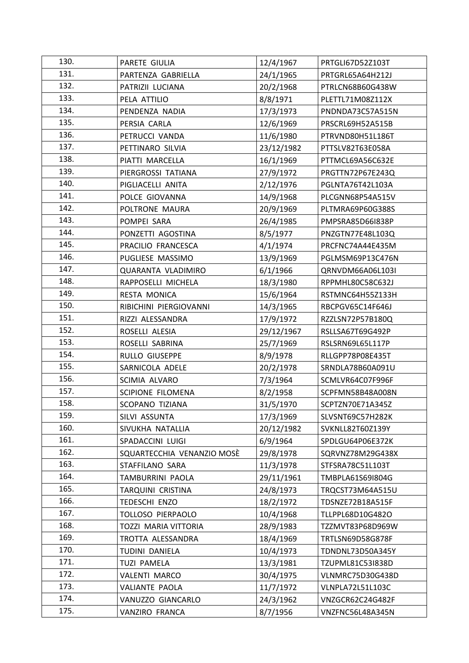| 130. | PARETE GIULIA              | 12/4/1967  | PRTGLI67D52Z103T |
|------|----------------------------|------------|------------------|
| 131. | PARTENZA GABRIELLA         | 24/1/1965  | PRTGRL65A64H212J |
| 132. | PATRIZII LUCIANA           | 20/2/1968  | PTRLCN68B60G438W |
| 133. | PELA ATTILIO               | 8/8/1971   | PLETTL71M08Z112X |
| 134. | PENDENZA NADIA             | 17/3/1973  | PNDNDA73C57A515N |
| 135. | PERSIA CARLA               | 12/6/1969  | PRSCRL69H52A515B |
| 136. | PETRUCCI VANDA             | 11/6/1980  | PTRVND80H51L186T |
| 137. | PETTINARO SILVIA           | 23/12/1982 | PTTSLV82T63E058A |
| 138. | PIATTI MARCELLA            | 16/1/1969  | PTTMCL69A56C632E |
| 139. | PIERGROSSI TATIANA         | 27/9/1972  | PRGTTN72P67E243Q |
| 140. | PIGLIACELLI ANITA          | 2/12/1976  | PGLNTA76T42L103A |
| 141. | POLCE GIOVANNA             | 14/9/1968  | PLCGNN68P54A515V |
| 142. | POLTRONE MAURA             | 20/9/1969  | PLTMRA69P60G388S |
| 143. | POMPEI SARA                | 26/4/1985  | PMPSRA85D66I838P |
| 144. | PONZETTI AGOSTINA          | 8/5/1977   | PNZGTN77E48L103Q |
| 145. | PRACILIO FRANCESCA         | 4/1/1974   | PRCFNC74A44E435M |
| 146. | PUGLIESE MASSIMO           | 13/9/1969  | PGLMSM69P13C476N |
| 147. | QUARANTA VLADIMIRO         | 6/1/1966   | QRNVDM66A06L103I |
| 148. | RAPPOSELLI MICHELA         | 18/3/1980  | RPPMHL80C58C632J |
| 149. | RESTA MONICA               | 15/6/1964  | RSTMNC64H55Z133H |
| 150. | RIBICHINI PIERGIOVANNI     | 14/3/1965  | RBCPGV65C14F646J |
| 151. | RIZZI ALESSANDRA           | 17/9/1972  | RZZLSN72P57B180Q |
| 152. | ROSELLI ALESIA             | 29/12/1967 | RSLLSA67T69G492P |
| 153. | ROSELLI SABRINA            | 25/7/1969  | RSLSRN69L65L117P |
| 154. | RULLO GIUSEPPE             | 8/9/1978   | RLLGPP78P08E435T |
| 155. | SARNICOLA ADELE            | 20/2/1978  | SRNDLA78B60A091U |
| 156. | SCIMIA ALVARO              | 7/3/1964   | SCMLVR64C07F996F |
| 157. | SCIPIONE FILOMENA          | 8/2/1958   | SCPFMN58B48A008N |
| 158. | <b>SCOPANO TIZIANA</b>     | 31/5/1970  | SCPTZN70E71A345Z |
| 159. | SILVI ASSUNTA              | 17/3/1969  | SLVSNT69C57H282K |
| 160. | SIVUKHA NATALLIA           | 20/12/1982 | SVKNLL82T60Z139Y |
| 161. | SPADACCINI LUIGI           | 6/9/1964   | SPDLGU64P06E372K |
| 162. | SQUARTECCHIA VENANZIO MOSÈ | 29/8/1978  | SQRVNZ78M29G438X |
| 163. | STAFFILANO SARA            | 11/3/1978  | STFSRA78C51L103T |
| 164. | TAMBURRINI PAOLA           | 29/11/1961 | TMBPLA61S69I804G |
| 165. | TARQUINI CRISTINA          | 24/8/1973  | TRQCST73M64A515U |
| 166. | TEDESCHI ENZO              | 18/2/1972  | TDSNZE72B18A515F |
| 167. | TOLLOSO PIERPAOLO          | 10/4/1968  | TLLPPL68D10G482O |
| 168. | TOZZI MARIA VITTORIA       | 28/9/1983  | TZZMVT83P68D969W |
| 169. | TROTTA ALESSANDRA          | 18/4/1969  | TRTLSN69D58G878F |
| 170. | TUDINI DANIELA             | 10/4/1973  | TDNDNL73D50A345Y |
| 171. | <b>TUZI PAMELA</b>         | 13/3/1981  | TZUPML81C53I838D |
| 172. | <b>VALENTI MARCO</b>       | 30/4/1975  | VLNMRC75D30G438D |
| 173. | VALIANTE PAOLA             | 11/7/1972  | VLNPLA72L51L103C |
| 174. | VANUZZO GIANCARLO          | 24/3/1962  | VNZGCR62C24G482F |
| 175. | VANZIRO FRANCA             | 8/7/1956   | VNZFNC56L48A345N |
|      |                            |            |                  |